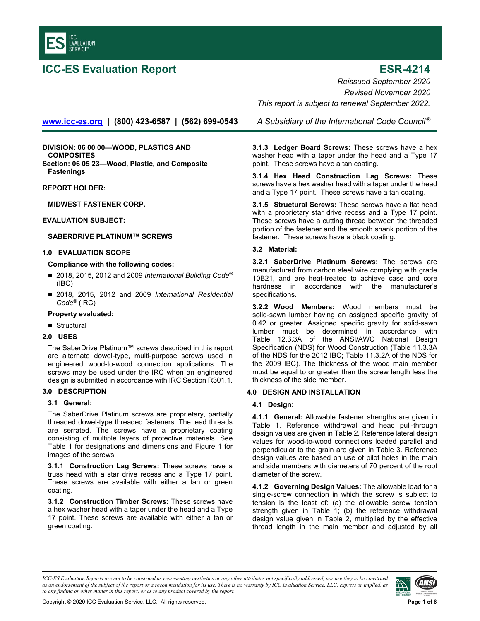<span id="page-0-0"></span>

# **ICC-ES Evaluation Report ESR-4214**

*Reissued September 2020 Revised November 2020* 

**www.icc-es.org | (800) 423-6587 | (562) 699-0543** *A Subsidiary of the International Code Council ®*

**DIVISION: 06 00 00—WOOD, PLASTICS AND COMPOSITES Section: 06 05 23—Wood, Plastic, and Composite Fastenings** 

**REPORT HOLDER:** 

**MIDWEST FASTENER CORP.** 

# **EVALUATION SUBJECT:**

# **SABERDRIVE PLATINUM™ SCREWS**

#### **1.0 EVALUATION SCOPE**

### **Compliance with the following codes:**

- 2018, 2015, 2012 and 2009 *International Building Code<sup>®</sup>* (IBC)
- 2018, 2015, 2012 and 2009 *International Residential Code®* (IRC)

#### **Property evaluated:**

■ Structural

# **2.0 USES**

The SaberDrive Platinum™ screws described in this report are alternate dowel-type, multi-purpose screws used in engineered wood-to-wood connection applications. The screws may be used under the IRC when an engineered design is submitted in accordance with IRC Section R301.1.

#### **3.0 DESCRIPTION**

# **3.1 General:**

The SaberDrive Platinum screws are proprietary, partially threaded dowel-type threaded fasteners. The lead threads are serrated. The screws have a proprietary coating consisting of multiple layers of protective materials. See Table 1 for designations and dimensions and Figure 1 for images of the screws.

**3.1.1 Construction Lag Screws:** These screws have a truss head with a star drive recess and a Type 17 point. These screws are available with either a tan or green coating.

**3.1.2 Construction Timber Screws:** These screws have a hex washer head with a taper under the head and a Type 17 point. These screws are available with either a tan or green coating.

 *This report is subject to renewal September 2022.* 

**3.1.3 Ledger Board Screws:** These screws have a hex washer head with a taper under the head and a Type 17 point. These screws have a tan coating.

**3.1.4 Hex Head Construction Lag Screws:** These screws have a hex washer head with a taper under the head and a Type 17 point. These screws have a tan coating.

**3.1.5 Structural Screws:** These screws have a flat head with a proprietary star drive recess and a Type 17 point. These screws have a cutting thread between the threaded portion of the fastener and the smooth shank portion of the fastener. These screws have a black coating.

# **3.2 Material:**

**3.2.1 SaberDrive Platinum Screws:** The screws are manufactured from carbon steel wire complying with grade 10B21, and are heat-treated to achieve case and core hardness in accordance with the manufacturer's specifications.

**3.2.2 Wood Members:** Wood members must be solid-sawn lumber having an assigned specific gravity of 0.42 or greater. Assigned specific gravity for solid-sawn lumber must be determined in accordance with Table 12.3.3A of the ANSI/AWC National Design Specification (NDS) for Wood Construction (Table 11.3.3A of the NDS for the 2012 IBC; Table 11.3.2A of the NDS for the 2009 IBC). The thickness of the wood main member must be equal to or greater than the screw length less the thickness of the side member.

# **4.0 DESIGN AND INSTALLATION**

# **4.1 Design:**

**4.1.1 General:** Allowable fastener strengths are given in Table 1. Reference withdrawal and head pull-through design values are given in Table 2. Reference lateral design values for wood-to-wood connections loaded parallel and perpendicular to the grain are given in Table 3. Reference design values are based on use of pilot holes in the main and side members with diameters of 70 percent of the root diameter of the screw.

**4.1.2 Governing Design Values:** The allowable load for a single-screw connection in which the screw is subject to tension is the least of: (a) the allowable screw tension strength given in Table 1; (b) the reference withdrawal design value given in Table 2, multiplied by the effective thread length in the main member and adjusted by all

*ICC-ES Evaluation Reports are not to be construed as representing aesthetics or any other attributes not specifically addressed, nor are they to be construed as an endorsement of the subject of the report or a recommendation for its use. There is no warranty by ICC Evaluation Service, LLC, express or implied, as to any finding or other matter in this report, or as to any product covered by the report.*

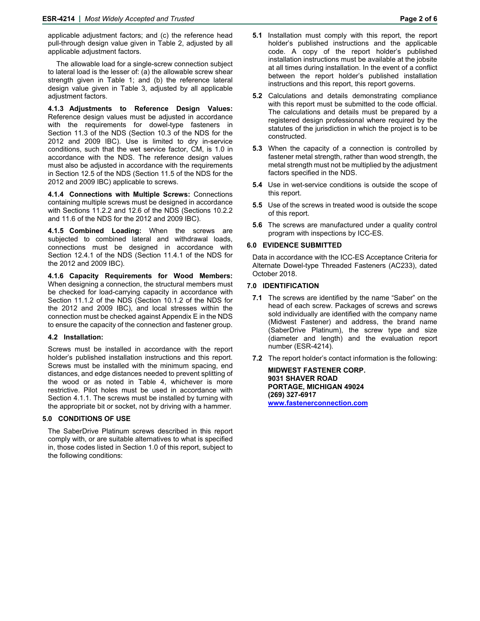applicable adjustment factors; and (c) the reference head pull-through design value given in Table 2, adjusted by all applicable adjustment factors.

The allowable load for a single-screw connection subject to lateral load is the lesser of: (a) the allowable screw shear strength given in Table 1; and (b) the reference lateral design value given in Table 3, adjusted by all applicable adjustment factors.

**4.1.3 Adjustments to Reference Design Values:**  Reference design values must be adjusted in accordance with the requirements for dowel-type fasteners in Section 11.3 of the NDS (Section 10.3 of the NDS for the 2012 and 2009 IBC). Use is limited to dry in-service conditions, such that the wet service factor, CM, is 1.0 in accordance with the NDS. The reference design values must also be adjusted in accordance with the requirements in Section 12.5 of the NDS (Section 11.5 of the NDS for the 2012 and 2009 IBC) applicable to screws.

**4.1.4 Connections with Multiple Screws:** Connections containing multiple screws must be designed in accordance with Sections 11.2.2 and 12.6 of the NDS (Sections 10.2.2 and 11.6 of the NDS for the 2012 and 2009 IBC).

**4.1.5 Combined Loading:** When the screws are subjected to combined lateral and withdrawal loads, connections must be designed in accordance with Section 12.4.1 of the NDS (Section 11.4.1 of the NDS for the 2012 and 2009 IBC).

**4.1.6 Capacity Requirements for Wood Members:**  When designing a connection, the structural members must be checked for load-carrying capacity in accordance with Section 11.1.2 of the NDS (Section 10.1.2 of the NDS for the 2012 and 2009 IBC), and local stresses within the connection must be checked against Appendix E in the NDS to ensure the capacity of the connection and fastener group.

#### **4.2 Installation:**

Screws must be installed in accordance with the report holder's published installation instructions and this report. Screws must be installed with the minimum spacing, end distances, and edge distances needed to prevent splitting of the wood or as noted in Table 4, whichever is more restrictive. Pilot holes must be used in accordance with Section 4.1.1. The screws must be installed by turning with the appropriate bit or socket, not by driving with a hammer.

# **5.0 CONDITIONS OF USE**

The SaberDrive Platinum screws described in this report comply with, or are suitable alternatives to what is specified in, those codes listed in Section 1.0 of this report, subject to the following conditions:

- **5.1** Installation must comply with this report, the report holder's published instructions and the applicable code. A copy of the report holder's published installation instructions must be available at the jobsite at all times during installation. In the event of a conflict between the report holder's published installation instructions and this report, this report governs.
- **5.2** Calculations and details demonstrating compliance with this report must be submitted to the code official. The calculations and details must be prepared by a registered design professional where required by the statutes of the jurisdiction in which the project is to be constructed.
- **5.3** When the capacity of a connection is controlled by fastener metal strength, rather than wood strength, the metal strength must not be multiplied by the adjustment factors specified in the NDS.
- **5.4** Use in wet-service conditions is outside the scope of this report.
- **5.5** Use of the screws in treated wood is outside the scope of this report.
- **5.6** The screws are manufactured under a quality control program with inspections by ICC-ES.

#### **6.0 EVIDENCE SUBMITTED**

Data in accordance with the ICC-ES Acceptance Criteria for Alternate Dowel-type Threaded Fasteners (AC233), dated October 2018.

#### **7.0 IDENTIFICATION**

- **7.1** The screws are identified by the name "Saber" on the head of each screw. Packages of screws and screws sold individually are identified with the company name (Midwest Fastener) and address, the brand name (SaberDrive Platinum), the screw type and size (diameter and length) and the evaluation report number (ESR-4214).
- **7.2** The report holder's contact information is the following:

**MIDWEST FASTENER CORP. 9031 SHAVER ROAD PORTAGE, MICHIGAN 49024 (269) 327-6917 www.fastenerconnection.com**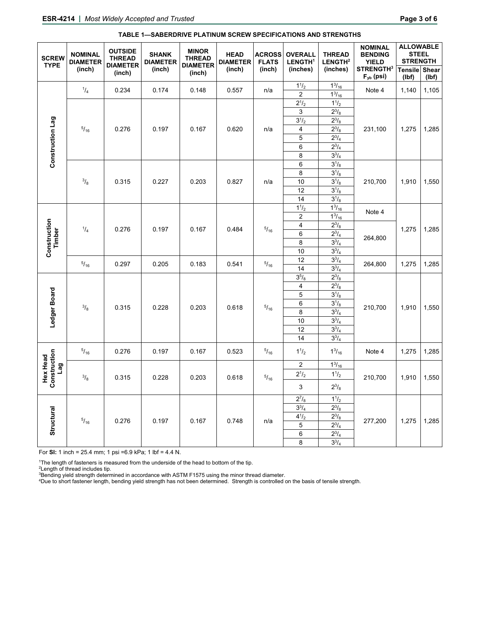| <b>SCREW</b><br><b>TYPE</b>            | <b>NOMINAL</b><br><b>DIAMETER</b><br>(inch) | <b>OUTSIDE</b><br><b>THREAD</b><br><b>DIAMETER</b><br>(inch) | <b>SHANK</b><br><b>DIAMETER</b><br>(inch) | <b>MINOR</b><br><b>THREAD</b><br><b>DIAMETER</b><br>(inch) | <b>HEAD</b><br><b>DIAMETER</b><br>(inch) | <b>ACROSS</b><br><b>FLATS</b><br>(inch) | <b>OVERALL</b><br>LENGTH <sup>1</sup><br>(inches)                                                | <b>THREAD</b><br>LENGTH <sup>2</sup><br>(inches)                                                                                           | <b>NOMINAL</b><br><b>BENDING</b><br><b>YIELD</b><br><b>STRENGTH3</b> | <b>ALLOWABLE</b><br><b>STEEL</b><br><b>STRENGTH</b><br>Tensile Shear |                |
|----------------------------------------|---------------------------------------------|--------------------------------------------------------------|-------------------------------------------|------------------------------------------------------------|------------------------------------------|-----------------------------------------|--------------------------------------------------------------------------------------------------|--------------------------------------------------------------------------------------------------------------------------------------------|----------------------------------------------------------------------|----------------------------------------------------------------------|----------------|
| Construction Lag                       | $^{1}/_{4}$                                 | 0.234                                                        | 0.174                                     | 0.148                                                      | 0.557                                    | n/a                                     | $1^{1/2}$                                                                                        | $\frac{13}{16}$                                                                                                                            | $F_{yb}$ (psi)<br>Note 4                                             | (Ibf)<br>1,140                                                       | (Ibf)<br>1,105 |
|                                        | $^{5}/_{16}$                                | 0.276                                                        | 0.197                                     | 0.167                                                      | 0.620                                    | n/a                                     | $\overline{2}$<br>$2^{1/2}$<br>3<br>$3^{1/2}$<br>$\overline{\mathbf{4}}$<br>5<br>$\,6$<br>8<br>6 | $1^{3}/_{16}$<br>$1^{1}/_{2}$<br>$2^{3}/_{8}$<br>$2^{3}/_{8}$<br>$2^{3}/_{8}$<br>$2^{3}/_{4}$<br>$2^{3}/_{4}$<br>$3^{3}/_{4}$<br>$3^{1/8}$ | 231,100                                                              | 1,275                                                                | 1,285          |
|                                        | $^{3}/_{8}$                                 | 0.315                                                        | 0.227                                     | 0.203                                                      | 0.827                                    | n/a                                     | 8<br>10<br>12<br>14                                                                              | $3^{1/8}$<br>$3^{1/8}$<br>$3^{1/8}$<br>$3^{1/8}$                                                                                           | 210,700                                                              | 1,910                                                                | 1,550          |
| <b>Construction</b><br>Timber          | $\frac{1}{4}$                               | 0.276                                                        | 0.197                                     | 0.167                                                      | 0.484                                    | $^{5}/_{16}$                            | $1^{1}/_{2}$<br>$\overline{2}$                                                                   | $1^{3}/_{16}$<br>$1^{3}/_{16}$                                                                                                             | Note 4<br>264,800                                                    | 1,275                                                                | 1,285          |
|                                        |                                             |                                                              |                                           |                                                            |                                          |                                         | $\overline{4}$<br>6<br>8<br>10                                                                   | $2^{3}/_{8}$<br>$2^{3}/_{4}$<br>$3^{3}/_{4}$<br>$3^{3}/_{4}$                                                                               |                                                                      |                                                                      |                |
|                                        | $^{5}/_{16}$                                | 0.297                                                        | 0.205                                     | 0.183                                                      | 0.541                                    | $^{5}/_{16}$                            | 12<br>14                                                                                         | $3^{3}/_{4}$<br>$3^{3}/_{4}$                                                                                                               | 264,800                                                              | 1,275                                                                | 1,285          |
| Ledger Board                           | $^{3}/_{8}$                                 | 0.315                                                        | 0.228                                     | 0.203                                                      | 0.618                                    | $^{5}/_{16}$                            | $3^{5}/_{8}$<br>4<br>5<br>$\,6$<br>8<br>10<br>$\overline{12}$<br>14                              | $2^{3}/_{8}$<br>$2^{3}/_{8}$<br>$3^{1}/_{8}$<br>$3^{1/8}$<br>$3^{3}/_{4}$<br>$3^{3}/_{4}$<br>$3^{3}/_{4}$<br>$3^{3}/_{4}$                  | 210,700                                                              | 1,910                                                                | 1,550          |
| Construction<br><b>Hex Head</b><br>Lag | $^{5}/_{16}$                                | 0.276                                                        | 0.197                                     | 0.167                                                      | 0.523                                    | $^{5}/_{16}$                            | $1^{1/2}$                                                                                        | $1^{3}/_{16}$                                                                                                                              | Note 4                                                               | 1,275                                                                | 1,285          |
|                                        | $^{3}/_{8}$                                 | 0.315                                                        | 0.228                                     | 0.203                                                      | 0.618                                    | $^{5}/_{16}$                            | $\boldsymbol{2}$<br>$2^{1/2}$<br>3                                                               | $1^{3}/_{16}$<br>$1^{1/2}$<br>$2^{3}/_{8}$                                                                                                 | 210,700                                                              | 1,910                                                                | 1,550          |
| Structural                             | $^{5}/_{16}$                                | 0.276                                                        | 0.197                                     | 0.167                                                      | 0.748                                    | n/a                                     | $2^{7}/_{8}$<br>$3^{3}/_{4}$<br>$4^{1/2}$<br>$\mathbf 5$<br>6<br>8                               | $1^{1}/_{2}$<br>$2^{3}/_{8}$<br>$2^{3}/_{8}$<br>$2^{3}/_{4}$<br>$2^{3}/_{4}$<br>$3^{3}/_{4}$                                               | 277,200                                                              | 1,275                                                                | 1,285          |

### **TABLE 1—SABERDRIVE PLATINUM SCREW SPECIFICATIONS AND STRENGTHS**

For **SI:** 1 inch = 25.4 mm; 1 psi =6.9 kPa; 1 lbf = 4.4 N.

<sup>1</sup>The length of fasteners is measured from the underside of the head to bottom of the tip.

<sup>1</sup>The length of fasteners is measured from the underside of the head to bottom of the tip.<br><sup>s</sup>Length of thread includes tip.<br><sup>s</sup>Bending yield strength determined in accordance with ASTM F1575 using the minor thread diame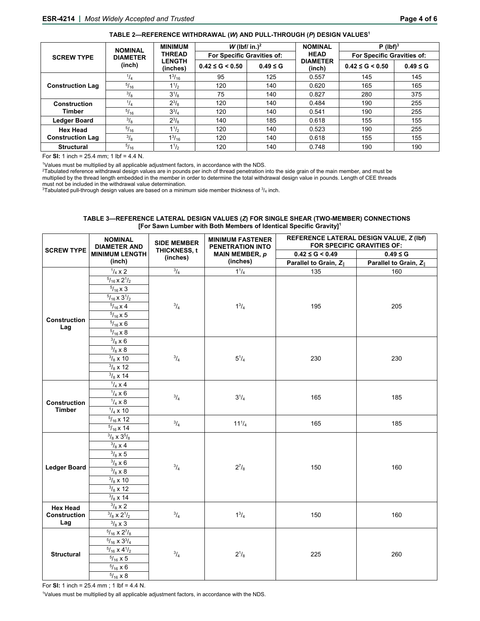|                         | <b>NOMINAL</b><br><b>DIAMETER</b><br>(inch) | <b>MINIMUM</b><br><b>THREAD</b><br><b>LENGTH</b><br>(inches) | W (lbf/ in.) <sup>2</sup>  |              | <b>NOMINAL</b>            | $P$ (lbf) <sup>3</sup>     |              |  |
|-------------------------|---------------------------------------------|--------------------------------------------------------------|----------------------------|--------------|---------------------------|----------------------------|--------------|--|
| <b>SCREW TYPE</b>       |                                             |                                                              | For Specific Gravities of: |              | <b>HEAD</b>               | For Specific Gravities of: |              |  |
|                         |                                             |                                                              | $0.42 \le G \le 0.50$      | $0.49 \le G$ | <b>DIAMETER</b><br>(inch) | $0.42 \le G \le 0.50$      | $0.49 \le G$ |  |
|                         | $^{1}/_{4}$                                 | $1^{3}/_{16}$                                                | 95                         | 125          | 0.557                     | 145                        | 145          |  |
| <b>Construction Lag</b> | $^{5}/_{16}$                                | $1^{1/2}$                                                    | 120                        | 140          | 0.620                     | 165                        | 165          |  |
|                         | $\frac{3}{8}$                               | $3^{1}/_{8}$                                                 | 75                         | 140          | 0.827                     | 280                        | 375          |  |
| <b>Construction</b>     | $^{1}/_{4}$                                 | $2^{3}/_{8}$                                                 | 120                        | 140          | 0.484                     | 190                        | 255          |  |
| Timber                  | $\sqrt[5]{16}$                              | $3^{3}/_{4}$                                                 | 120                        | 140          | 0.541                     | 190                        | 255          |  |
| <b>Ledger Board</b>     | $\frac{3}{8}$                               | $2^{3}/\mathrm{s}$                                           | 140                        | 185          | 0.618                     | 155                        | 155          |  |
| <b>Hex Head</b>         | $^{5}/_{16}$                                | $1^{1/2}$                                                    | 120                        | 140          | 0.523                     | 190                        | 255          |  |
| <b>Construction Lag</b> | $\frac{3}{8}$                               | $1^{3}/_{16}$                                                | 120                        | 140          | 0.618                     | 155                        | 155          |  |
| <b>Structural</b>       | $^{5}/_{16}$                                | $1^{1/2}$                                                    | 120                        | 140          | 0.748                     | 190                        | 190          |  |

For **SI:** 1 inch = 25.4 mm; 1 lbf = 4.4 N.

<sup>1</sup>Values must be multiplied by all applicable adjustment factors, in accordance with the NDS.<br><sup>2</sup>Tabulated reference withdrawal design values are in pounds per inch of thread penetration into the side grain of the main me multiplied by the thread length embedded in the member in order to determine the total withdrawal design value in pounds. Length of CEE threads must not be included in the withdrawal value determination.

 $3$ Tabulated pull-through design values are based on a minimum side member thickness of  $3/4$  inch.

#### **TABLE 3—REFERENCE LATERAL DESIGN VALUES (***Z***) FOR SINGLE SHEAR (TWO-MEMBER) CONNECTIONS [For Sawn Lumber with Both Members of Identical Specific Gravity]1**

| PENETRATION INTO<br><b>DIAMETER AND</b><br><b>THICKNESS, t</b><br>$0.42 \le G < 0.49$<br>$0.49 \le G$<br><b>MINIMUM LENGTH</b><br><b>MAIN MEMBER, p</b><br>(inches)<br>(inch)<br>(inches)<br>Parallel to Grain, Z <sub>1</sub><br>Parallel to Grain, Z<br>$^{3}/_{4}$<br>$\frac{1}{4}$ x 2<br>$1^{1}/_{4}$<br>135<br>160<br>$\frac{5}{16}$ x $2\frac{1}{2}$<br>$\frac{5}{16}$ x 3<br>$\frac{5}{16}$ x $3\frac{1}{2}$<br>$^{3}/_{4}$<br>$5/16 \times 4$<br>$1^3/4$<br>195<br>205<br>$\frac{5}{16}$ x 5 | <b>SCREW TYPE</b> |  |
|-------------------------------------------------------------------------------------------------------------------------------------------------------------------------------------------------------------------------------------------------------------------------------------------------------------------------------------------------------------------------------------------------------------------------------------------------------------------------------------------------------|-------------------|--|
|                                                                                                                                                                                                                                                                                                                                                                                                                                                                                                       |                   |  |
|                                                                                                                                                                                                                                                                                                                                                                                                                                                                                                       |                   |  |
|                                                                                                                                                                                                                                                                                                                                                                                                                                                                                                       |                   |  |
|                                                                                                                                                                                                                                                                                                                                                                                                                                                                                                       |                   |  |
|                                                                                                                                                                                                                                                                                                                                                                                                                                                                                                       |                   |  |
|                                                                                                                                                                                                                                                                                                                                                                                                                                                                                                       |                   |  |
|                                                                                                                                                                                                                                                                                                                                                                                                                                                                                                       |                   |  |
| <b>Construction</b>                                                                                                                                                                                                                                                                                                                                                                                                                                                                                   |                   |  |
| $\frac{5}{16}$ x 6<br>Lag                                                                                                                                                                                                                                                                                                                                                                                                                                                                             |                   |  |
| $\frac{5}{16}$ x 8                                                                                                                                                                                                                                                                                                                                                                                                                                                                                    |                   |  |
| $\frac{3}{8}$ x 6                                                                                                                                                                                                                                                                                                                                                                                                                                                                                     |                   |  |
| $\frac{3}{8}$ x 8                                                                                                                                                                                                                                                                                                                                                                                                                                                                                     |                   |  |
| $^{3}/_{4}$<br>$\frac{3}{8}$ x 10<br>$5^{1}/_{4}$<br>230<br>230                                                                                                                                                                                                                                                                                                                                                                                                                                       |                   |  |
| $\frac{3}{8}$ x 12                                                                                                                                                                                                                                                                                                                                                                                                                                                                                    |                   |  |
| $^{3}/_{8}$ x 14                                                                                                                                                                                                                                                                                                                                                                                                                                                                                      |                   |  |
| $\frac{1}{4}$ x 4                                                                                                                                                                                                                                                                                                                                                                                                                                                                                     |                   |  |
| $\frac{1}{4}$ x 6<br>$^{3}/_{4}$<br>$3^{1}/_{4}$<br>165<br>185                                                                                                                                                                                                                                                                                                                                                                                                                                        |                   |  |
| $\frac{1}{4} \times 8$<br>Construction                                                                                                                                                                                                                                                                                                                                                                                                                                                                |                   |  |
| <b>Timber</b><br>$\frac{1}{4}$ x 10                                                                                                                                                                                                                                                                                                                                                                                                                                                                   |                   |  |
| $5/16 \times 12$<br>$^{3}/_{4}$<br>$11^{1}/_{4}$<br>165<br>185                                                                                                                                                                                                                                                                                                                                                                                                                                        |                   |  |
| $5/16 \times 14$                                                                                                                                                                                                                                                                                                                                                                                                                                                                                      |                   |  |
| $3/8 \times 3^{5}/8$                                                                                                                                                                                                                                                                                                                                                                                                                                                                                  |                   |  |
| $\frac{3}{8}$ x 4                                                                                                                                                                                                                                                                                                                                                                                                                                                                                     |                   |  |
| $\frac{3}{8}$ x 5                                                                                                                                                                                                                                                                                                                                                                                                                                                                                     |                   |  |
| $\frac{3}{8}$ x 6<br>$^{3}/_{4}$<br>$2^{7}/_{8}$<br><b>Ledger Board</b><br>150<br>160                                                                                                                                                                                                                                                                                                                                                                                                                 |                   |  |
| $\frac{3}{8}$ x 8                                                                                                                                                                                                                                                                                                                                                                                                                                                                                     |                   |  |
| $^{3}/_{8}$ x 10                                                                                                                                                                                                                                                                                                                                                                                                                                                                                      |                   |  |
| $\frac{3}{8}$ x 12                                                                                                                                                                                                                                                                                                                                                                                                                                                                                    |                   |  |
| $\frac{3}{8}$ x 14                                                                                                                                                                                                                                                                                                                                                                                                                                                                                    |                   |  |
| $\frac{3}{8}$ x 2<br><b>Hex Head</b><br>$^{3}/_{4}$<br>$1^3/4$                                                                                                                                                                                                                                                                                                                                                                                                                                        |                   |  |
| $^{3}/_{8}$ x 2 $^{1}/_{2}$<br>Construction<br>150<br>160<br>Lag<br>$^{3}/_{8}$ x 3                                                                                                                                                                                                                                                                                                                                                                                                                   |                   |  |
| $^{5}/_{16}$ x $2^{7}/_{8}$                                                                                                                                                                                                                                                                                                                                                                                                                                                                           |                   |  |
| $^{5}/_{16}$ x $3^{3}/_{4}$                                                                                                                                                                                                                                                                                                                                                                                                                                                                           |                   |  |
| $\frac{5}{16}$ x 4 $\frac{1}{2}$                                                                                                                                                                                                                                                                                                                                                                                                                                                                      |                   |  |
| $\frac{3}{4}$<br>$2^{1/8}$<br><b>Structural</b><br>225<br>260<br>$\frac{5}{16}$ x 5                                                                                                                                                                                                                                                                                                                                                                                                                   |                   |  |
| $\frac{5}{16}$ x 6                                                                                                                                                                                                                                                                                                                                                                                                                                                                                    |                   |  |
| $^{5}\!/_{16}$ x $8$                                                                                                                                                                                                                                                                                                                                                                                                                                                                                  |                   |  |

For **SI:** 1 inch = 25.4 mm ; 1 lbf = 4.4 N.

1 Values must be multiplied by all applicable adjustment factors, in accordance with the NDS.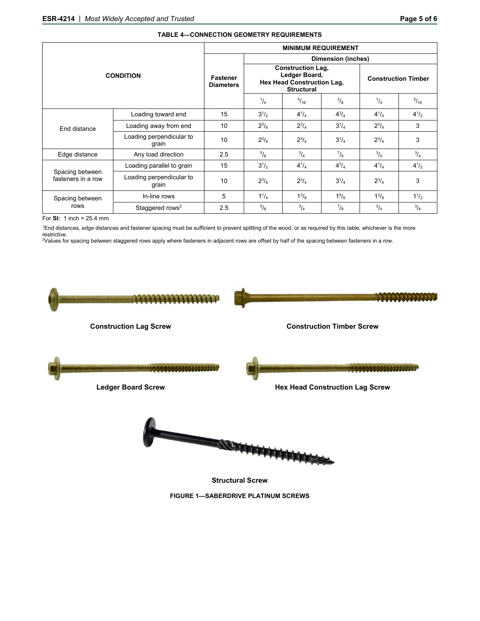|                                       | <b>MINIMUM REQUIREMENT</b>          |                                                                                              |               |               |                            |              |             |  |
|---------------------------------------|-------------------------------------|----------------------------------------------------------------------------------------------|---------------|---------------|----------------------------|--------------|-------------|--|
|                                       | <b>Fastener</b><br><b>Diameters</b> | <b>Dimension (inches)</b>                                                                    |               |               |                            |              |             |  |
| <b>CONDITION</b>                      |                                     | <b>Construction Lag,</b><br>Ledger Board,<br>Hex Head Construction Lag,<br><b>Structural</b> |               |               | <b>Construction Timber</b> |              |             |  |
|                                       |                                     | $^{1/4}$                                                                                     | $^{5}/_{16}$  | $\frac{3}{8}$ | $^{1}/_{4}$                | $^{5}/_{16}$ |             |  |
|                                       | Loading toward end                  | 15                                                                                           | $3^{1/2}$     | $4^{1}/_{4}$  | $4^{3}/_{4}$               | $4^{1}/_{4}$ | $4^{1/2}$   |  |
| End distance                          | Loading away from end               | 10                                                                                           | $2^{3}/_{8}$  | $2^{3}/_{4}$  | $3^{1}/_{4}$               | $2^{3}/_{4}$ | 3           |  |
|                                       | Loading perpendicular to<br>grain   | 10                                                                                           | $2^{3}/_{8}$  | $2^{3}/_{4}$  | $3^{1}/_{4}$               | $2^{3}/_{4}$ | 3           |  |
| Edge distance                         | Any load direction                  | 2.5                                                                                          | $^{5}/_8$     | $^{3}/_{4}$   | $^7$ / <sub>8</sub>        | $^{3}/_{4}$  | $^{3}/_{4}$ |  |
|                                       | Loading parallel to grain           | 15                                                                                           | $3^{1/2}$     | $4^{1}/_{4}$  | $4^{3}/_{4}$               | $4^{1}/_{4}$ | $4^{1/2}$   |  |
| Spacing between<br>fasteners in a row | Loading perpendicular to<br>grain   | 10                                                                                           | $2^{3}/_{8}$  | $2^{3}/_{4}$  | $3^{1}/_{4}$               | $2^{3}/_{4}$ | 3           |  |
| Spacing between                       | In-line rows                        | 5                                                                                            | $1^{1}/_{4}$  | $1^{3}/_{8}$  | $1^{5}/_{8}$               | $1^{3}/_{8}$ | $1^{1/2}$   |  |
| rows                                  | Staggered rows <sup>2</sup>         | 2.5                                                                                          | $\frac{5}{8}$ | $^{3}/_{4}$   | $^{7}/_{8}$                | $^{3}/_{4}$  | $^{3}/_{4}$ |  |

#### **TABLE 4—CONNECTION GEOMETRY REQUIREMENTS**

For **SI:** 1 inch = 25.4 mm

1End distances, edge distances and fastener spacing must be sufficient to prevent splitting of the wood, or as required by this table, whichever is the more restrictive.

2Values for spacing between staggered rows apply where fasteners in adjacent rows are offset by half of the spacing between fasteners in a row.



**Structural Screw**

**FIGURE 1—SABERDRIVE PLATINUM SCREWS**